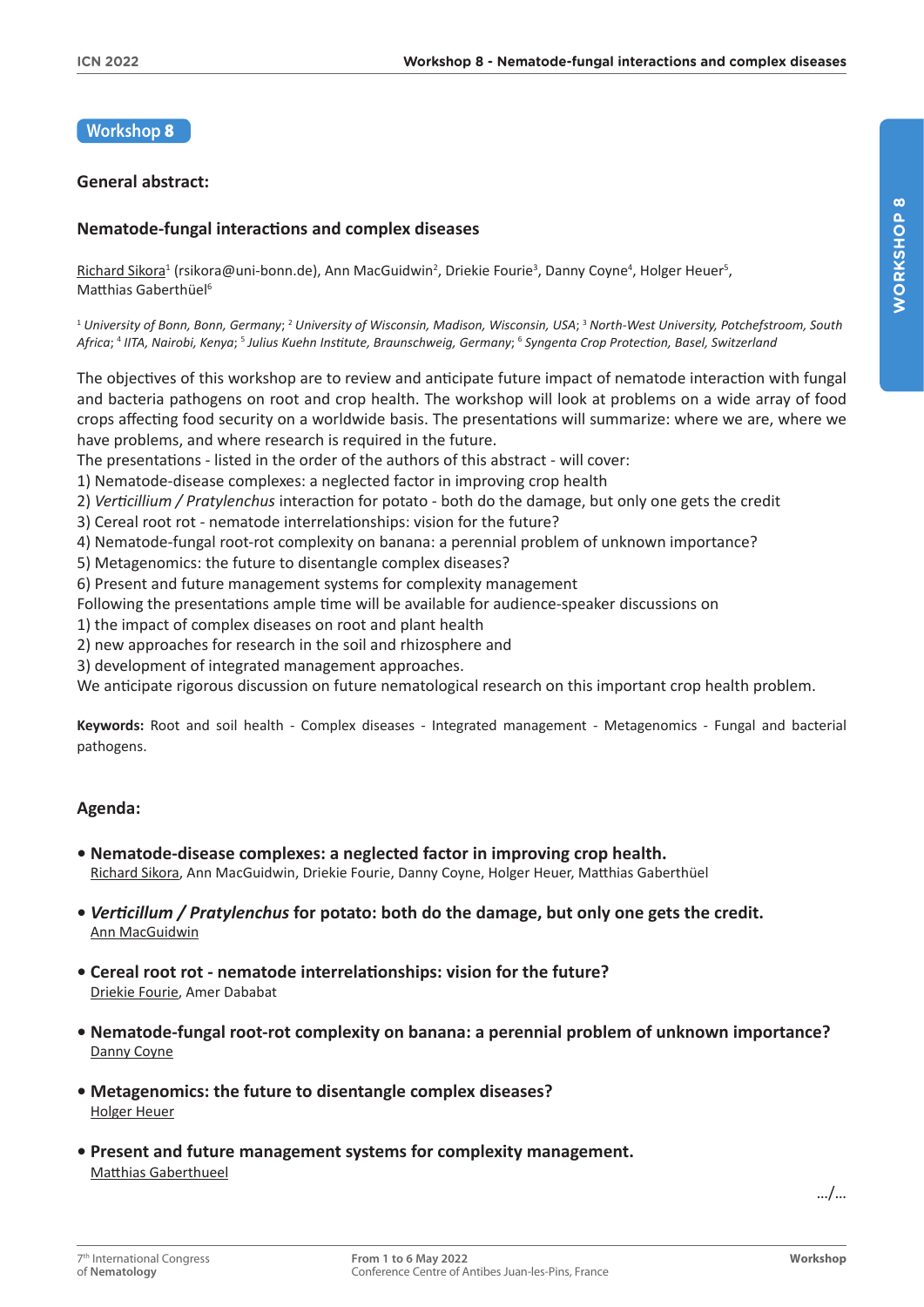## **Workshop** 8

## **General abstract:**

## **Nematode-fungal interactions and complex diseases**

Richard Sikora<sup>1</sup> (rsikora@uni-bonn.de), Ann MacGuidwin<sup>2</sup>, Driekie Fourie<sup>3</sup>, Danny Coyne<sup>4</sup>, Holger Heuer<sup>s</sup>, Matthias Gaberthüel<sup>6</sup>

<sup>1</sup> *University of Bonn, Bonn, Germany*; 2 *University of Wisconsin, Madison, Wisconsin, USA*; 3 *North-West University, Potchefstroom, South Africa*; 4 *IITA, Nairobi, Kenya*; 5 *Julius Kuehn Institute, Braunschweig, Germany*; 6 *Syngenta Crop Protection, Basel, Switzerland*

The objectives of this workshop are to review and anticipate future impact of nematode interaction with fungal and bacteria pathogens on root and crop health. The workshop will look at problems on a wide array of food crops affecting food security on a worldwide basis. The presentations will summarize: where we are, where we have problems, and where research is required in the future.

The presentations - listed in the order of the authors of this abstract - will cover:

1) Nematode-disease complexes: a neglected factor in improving crop health

2) *Verticillium / Pratylenchus* interaction for potato - both do the damage, but only one gets the credit

3) Cereal root rot - nematode interrelationships: vision for the future?

4) Nematode-fungal root-rot complexity on banana: a perennial problem of unknown importance?

5) Metagenomics: the future to disentangle complex diseases?

6) Present and future management systems for complexity management

Following the presentations ample time will be available for audience-speaker discussions on

1) the impact of complex diseases on root and plant health

2) new approaches for research in the soil and rhizosphere and

3) development of integrated management approaches.

We anticipate rigorous discussion on future nematological research on this important crop health problem.

**Keywords:** Root and soil health - Complex diseases - Integrated management - Metagenomics - Fungal and bacterial pathogens.

## **Agenda:**

- **Nematode-disease complexes: a neglected factor in improving crop health.** Richard Sikora, Ann MacGuidwin, Driekie Fourie, Danny Coyne, Holger Heuer, Matthias Gaberthüel
- *Verticillum / Pratylenchus* **for potato: both do the damage, but only one gets the credit.** Ann MacGuidwin
- **Cereal root rot nematode interrelationships: vision for the future?** Driekie Fourie, Amer Dababat
- **Nematode-fungal root-rot complexity on banana: a perennial problem of unknown importance?** Danny Coyne
- **Metagenomics: the future to disentangle complex diseases?** Holger Heuer
- **Present and future management systems for complexity management.** Matthias Gaberthueel

…/…